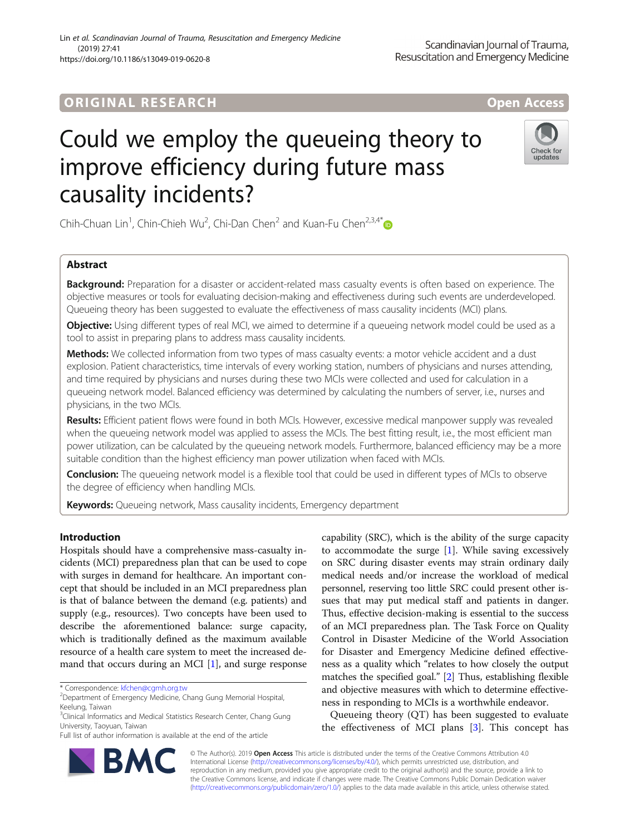# **ORIGINAL RESEARCH And Access** open Access

https://doi.org/10.1186/s13049-019-0620-8

(2019) 27:41

# Could we employ the queueing theory to improve efficiency during future mass causality incidents?

Chih-Chuan Lin<sup>1</sup>, Chin-Chieh Wu<sup>2</sup>, Chi-Dan Chen<sup>2</sup> and Kuan-Fu Chen<sup>2,3,4\*</sup>

## Abstract

Background: Preparation for a disaster or accident-related mass casualty events is often based on experience. The objective measures or tools for evaluating decision-making and effectiveness during such events are underdeveloped. Queueing theory has been suggested to evaluate the effectiveness of mass causality incidents (MCI) plans.

Objective: Using different types of real MCI, we aimed to determine if a queueing network model could be used as a tool to assist in preparing plans to address mass causality incidents.

Methods: We collected information from two types of mass casualty events: a motor vehicle accident and a dust explosion. Patient characteristics, time intervals of every working station, numbers of physicians and nurses attending, and time required by physicians and nurses during these two MCIs were collected and used for calculation in a queueing network model. Balanced efficiency was determined by calculating the numbers of server, i.e., nurses and physicians, in the two MCIs.

Results: Efficient patient flows were found in both MCIs. However, excessive medical manpower supply was revealed when the queueing network model was applied to assess the MCIs. The best fitting result, i.e., the most efficient man power utilization, can be calculated by the queueing network models. Furthermore, balanced efficiency may be a more suitable condition than the highest efficiency man power utilization when faced with MCIs.

Conclusion: The queueing network model is a flexible tool that could be used in different types of MCIs to observe the degree of efficiency when handling MCIs.

Keywords: Queueing network, Mass causality incidents, Emergency department

## Introduction

Hospitals should have a comprehensive mass-casualty incidents (MCI) preparedness plan that can be used to cope with surges in demand for healthcare. An important concept that should be included in an MCI preparedness plan is that of balance between the demand (e.g. patients) and supply (e.g., resources). Two concepts have been used to describe the aforementioned balance: surge capacity, which is traditionally defined as the maximum available resource of a health care system to meet the increased demand that occurs during an MCI [\[1](#page-7-0)], and surge response

\* Correspondence: [kfchen@cgmh.org.tw](mailto:kfchen@cgmh.org.tw) <sup>2</sup>

<sup>3</sup>Clinical Informatics and Medical Statistics Research Center, Chang Gung University, Taoyuan, Taiwan

Full list of author information is available at the end of the article

capability (SRC), which is the ability of the surge capacity to accommodate the surge [\[1](#page-7-0)]. While saving excessively on SRC during disaster events may strain ordinary daily medical needs and/or increase the workload of medical personnel, reserving too little SRC could present other issues that may put medical staff and patients in danger. Thus, effective decision-making is essential to the success of an MCI preparedness plan. The Task Force on Quality Control in Disaster Medicine of the World Association for Disaster and Emergency Medicine defined effectiveness as a quality which "relates to how closely the output matches the specified goal." [[2\]](#page-7-0) Thus, establishing flexible and objective measures with which to determine effectiveness in responding to MCIs is a worthwhile endeavor.

Queueing theory (QT) has been suggested to evaluate the effectiveness of MCI plans [[3\]](#page-7-0). This concept has

© The Author(s). 2019 **Open Access** This article is distributed under the terms of the Creative Commons Attribution 4.0 International License [\(http://creativecommons.org/licenses/by/4.0/](http://creativecommons.org/licenses/by/4.0/)), which permits unrestricted use, distribution, and reproduction in any medium, provided you give appropriate credit to the original author(s) and the source, provide a link to the Creative Commons license, and indicate if changes were made. The Creative Commons Public Domain Dedication waiver [\(http://creativecommons.org/publicdomain/zero/1.0/](http://creativecommons.org/publicdomain/zero/1.0/)) applies to the data made available in this article, unless otherwise stated.

Lin et al. Scandinavian Journal of Trauma, Resuscitation and Emergency Medicine







Check for undate

<sup>&</sup>lt;sup>2</sup> Department of Emergency Medicine, Chang Gung Memorial Hospital, Keelung, Taiwan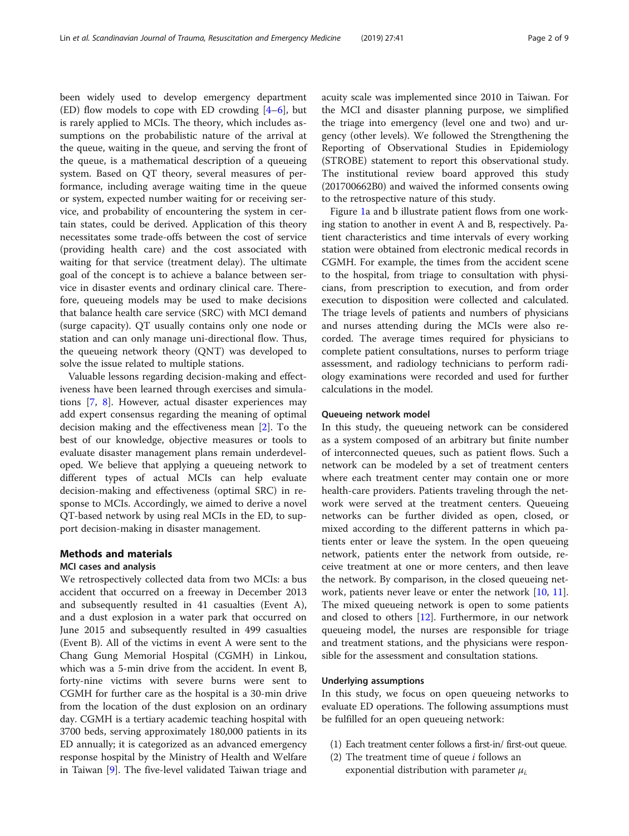been widely used to develop emergency department (ED) flow models to cope with ED crowding  $[4-6]$  $[4-6]$  $[4-6]$ , but is rarely applied to MCIs. The theory, which includes assumptions on the probabilistic nature of the arrival at the queue, waiting in the queue, and serving the front of the queue, is a mathematical description of a queueing system. Based on QT theory, several measures of performance, including average waiting time in the queue or system, expected number waiting for or receiving service, and probability of encountering the system in certain states, could be derived. Application of this theory necessitates some trade-offs between the cost of service (providing health care) and the cost associated with waiting for that service (treatment delay). The ultimate goal of the concept is to achieve a balance between service in disaster events and ordinary clinical care. Therefore, queueing models may be used to make decisions that balance health care service (SRC) with MCI demand (surge capacity). QT usually contains only one node or station and can only manage uni-directional flow. Thus, the queueing network theory (QNT) was developed to solve the issue related to multiple stations.

Valuable lessons regarding decision-making and effectiveness have been learned through exercises and simulations [[7,](#page-7-0) [8](#page-7-0)]. However, actual disaster experiences may add expert consensus regarding the meaning of optimal decision making and the effectiveness mean [\[2\]](#page-7-0). To the best of our knowledge, objective measures or tools to evaluate disaster management plans remain underdeveloped. We believe that applying a queueing network to different types of actual MCIs can help evaluate decision-making and effectiveness (optimal SRC) in response to MCIs. Accordingly, we aimed to derive a novel QT-based network by using real MCIs in the ED, to support decision-making in disaster management.

## Methods and materials

## MCI cases and analysis

We retrospectively collected data from two MCIs: a bus accident that occurred on a freeway in December 2013 and subsequently resulted in 41 casualties (Event A), and a dust explosion in a water park that occurred on June 2015 and subsequently resulted in 499 casualties (Event B). All of the victims in event A were sent to the Chang Gung Memorial Hospital (CGMH) in Linkou, which was a 5-min drive from the accident. In event B, forty-nine victims with severe burns were sent to CGMH for further care as the hospital is a 30-min drive from the location of the dust explosion on an ordinary day. CGMH is a tertiary academic teaching hospital with 3700 beds, serving approximately 180,000 patients in its ED annually; it is categorized as an advanced emergency response hospital by the Ministry of Health and Welfare in Taiwan [[9\]](#page-7-0). The five-level validated Taiwan triage and acuity scale was implemented since 2010 in Taiwan. For the MCI and disaster planning purpose, we simplified the triage into emergency (level one and two) and urgency (other levels). We followed the Strengthening the Reporting of Observational Studies in Epidemiology (STROBE) statement to report this observational study. The institutional review board approved this study (201700662B0) and waived the informed consents owing to the retrospective nature of this study.

Figure [1](#page-2-0)a and b illustrate patient flows from one working station to another in event A and B, respectively. Patient characteristics and time intervals of every working station were obtained from electronic medical records in CGMH. For example, the times from the accident scene to the hospital, from triage to consultation with physicians, from prescription to execution, and from order execution to disposition were collected and calculated. The triage levels of patients and numbers of physicians and nurses attending during the MCIs were also recorded. The average times required for physicians to complete patient consultations, nurses to perform triage assessment, and radiology technicians to perform radiology examinations were recorded and used for further calculations in the model.

#### Queueing network model

In this study, the queueing network can be considered as a system composed of an arbitrary but finite number of interconnected queues, such as patient flows. Such a network can be modeled by a set of treatment centers where each treatment center may contain one or more health-care providers. Patients traveling through the network were served at the treatment centers. Queueing networks can be further divided as open, closed, or mixed according to the different patterns in which patients enter or leave the system. In the open queueing network, patients enter the network from outside, receive treatment at one or more centers, and then leave the network. By comparison, in the closed queueing net-work, patients never leave or enter the network [\[10](#page-7-0), [11](#page-7-0)]. The mixed queueing network is open to some patients and closed to others [[12\]](#page-7-0). Furthermore, in our network queueing model, the nurses are responsible for triage and treatment stations, and the physicians were responsible for the assessment and consultation stations.

## Underlying assumptions

In this study, we focus on open queueing networks to evaluate ED operations. The following assumptions must be fulfilled for an open queueing network:

- (1) Each treatment center follows a first-in/ first-out queue.
- (2) The treatment time of queue  $i$  follows an exponential distribution with parameter  $\mu_i$ .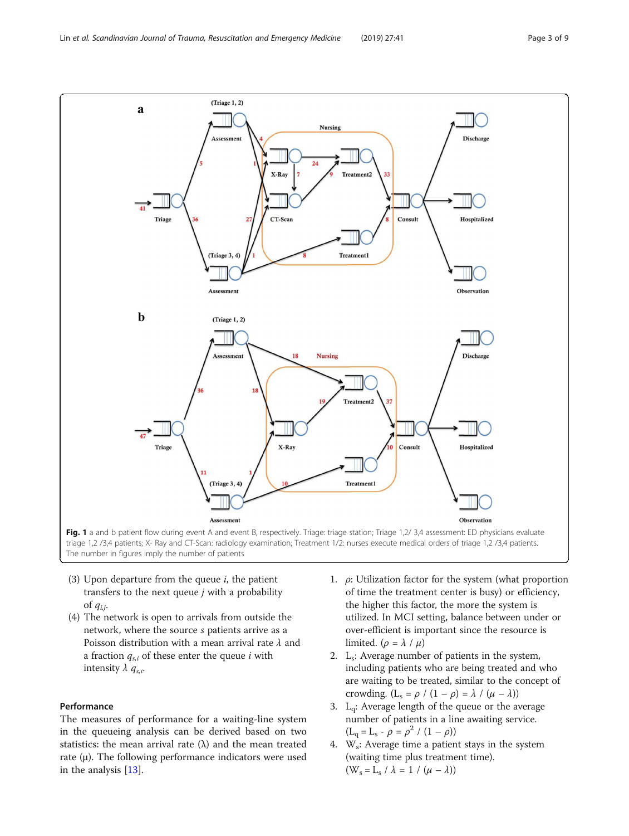<span id="page-2-0"></span>

- (3) Upon departure from the queue  $i$ , the patient transfers to the next queue  $j$  with a probability of  $q_{i,i}$ .
- (4) The network is open to arrivals from outside the network, where the source s patients arrive as a Poisson distribution with a mean arrival rate  $\lambda$  and a fraction  $q_{s,i}$  of these enter the queue i with intensity  $\lambda$   $q_{s,i}$ .

## Performance

The measures of performance for a waiting-line system in the queueing analysis can be derived based on two statistics: the mean arrival rate  $(\lambda)$  and the mean treated rate  $(\mu)$ . The following performance indicators were used in the analysis [[13\]](#page-7-0).

- 1.  $\rho$ : Utilization factor for the system (what proportion of time the treatment center is busy) or efficiency, the higher this factor, the more the system is utilized. In MCI setting, balance between under or over-efficient is important since the resource is limited. ( $\rho = \lambda / \mu$ )
- 2. L<sub>s</sub>: Average number of patients in the system, including patients who are being treated and who are waiting to be treated, similar to the concept of crowding.  $(L_s = \rho / (1 - \rho) = \lambda / (\mu - \lambda))$
- 3.  $L_q$ : Average length of the queue or the average number of patients in a line awaiting service.  $(L_q = L_s - \rho = \rho^2 / (1 - \rho))$
- 4.  $W_s$ : Average time a patient stays in the system (waiting time plus treatment time).  $(W_s = L_s / \lambda = 1 / (\mu - \lambda))$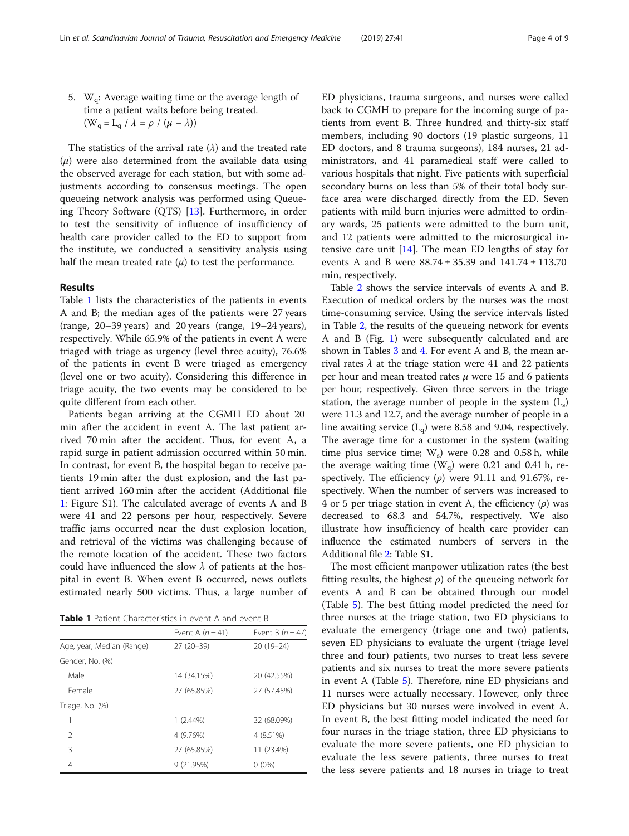5.  $W_q$ : Average waiting time or the average length of time a patient waits before being treated.  $(W_q = L_q / \lambda = \rho / (\mu - \lambda))$ 

The statistics of the arrival rate  $(\lambda)$  and the treated rate  $(\mu)$  were also determined from the available data using the observed average for each station, but with some adjustments according to consensus meetings. The open queueing network analysis was performed using Queueing Theory Software (QTS) [\[13\]](#page-7-0). Furthermore, in order to test the sensitivity of influence of insufficiency of health care provider called to the ED to support from the institute, we conducted a sensitivity analysis using half the mean treated rate  $(\mu)$  to test the performance.

## Results

Table 1 lists the characteristics of the patients in events A and B; the median ages of the patients were 27 years (range, 20–39 years) and 20 years (range, 19–24 years), respectively. While 65.9% of the patients in event A were triaged with triage as urgency (level three acuity), 76.6% of the patients in event B were triaged as emergency (level one or two acuity). Considering this difference in triage acuity, the two events may be considered to be quite different from each other.

Patients began arriving at the CGMH ED about 20 min after the accident in event A. The last patient arrived 70 min after the accident. Thus, for event A, a rapid surge in patient admission occurred within 50 min. In contrast, for event B, the hospital began to receive patients 19 min after the dust explosion, and the last patient arrived 160 min after the accident (Additional file [1:](#page-7-0) Figure S1). The calculated average of events A and B were 41 and 22 persons per hour, respectively. Severe traffic jams occurred near the dust explosion location, and retrieval of the victims was challenging because of the remote location of the accident. These two factors could have influenced the slow  $\lambda$  of patients at the hospital in event B. When event B occurred, news outlets estimated nearly 500 victims. Thus, a large number of

Table 1 Patient Characteristics in event A and event B

|                           | Event A $(n=41)$ | Event B $(n=47)$ |  |  |  |  |
|---------------------------|------------------|------------------|--|--|--|--|
| Age, year, Median (Range) | $27(20-39)$      | $20(19-24)$      |  |  |  |  |
| Gender, No. (%)           |                  |                  |  |  |  |  |
| Male                      | 14 (34.15%)      | 20 (42.55%)      |  |  |  |  |
| Female                    | 27 (65.85%)      | 27 (57.45%)      |  |  |  |  |
| Triage, No. (%)           |                  |                  |  |  |  |  |
| 1                         | $1(2.44\%)$      | 32 (68.09%)      |  |  |  |  |
| $\mathcal{P}$             | 4 (9.76%)        | 4 (8.51%)        |  |  |  |  |
| 3                         | 27 (65.85%)      | 11 (23.4%)       |  |  |  |  |
| 4                         | 9 (21.95%)       | $0(0\%)$         |  |  |  |  |

ED physicians, trauma surgeons, and nurses were called back to CGMH to prepare for the incoming surge of patients from event B. Three hundred and thirty-six staff members, including 90 doctors (19 plastic surgeons, 11 ED doctors, and 8 trauma surgeons), 184 nurses, 21 administrators, and 41 paramedical staff were called to various hospitals that night. Five patients with superficial secondary burns on less than 5% of their total body surface area were discharged directly from the ED. Seven patients with mild burn injuries were admitted to ordinary wards, 25 patients were admitted to the burn unit, and 12 patients were admitted to the microsurgical intensive care unit  $[14]$  $[14]$ . The mean ED lengths of stay for events A and B were 88.74 ± 35.39 and 141.74 ± 113.70 min, respectively.

Table [2](#page-4-0) shows the service intervals of events A and B. Execution of medical orders by the nurses was the most time-consuming service. Using the service intervals listed in Table [2](#page-4-0), the results of the queueing network for events A and B (Fig. [1\)](#page-2-0) were subsequently calculated and are shown in Tables [3](#page-4-0) and [4.](#page-5-0) For event A and B, the mean arrival rates  $\lambda$  at the triage station were 41 and 22 patients per hour and mean treated rates  $\mu$  were 15 and 6 patients per hour, respectively. Given three servers in the triage station, the average number of people in the system  $(L_s)$ were 11.3 and 12.7, and the average number of people in a line awaiting service  $(L<sub>q</sub>)$  were 8.58 and 9.04, respectively. The average time for a customer in the system (waiting time plus service time;  $W_s$ ) were 0.28 and 0.58 h, while the average waiting time  $(W_q)$  were 0.21 and 0.41 h, respectively. The efficiency  $(\rho)$  were 91.11 and 91.67%, respectively. When the number of servers was increased to 4 or 5 per triage station in event A, the efficiency  $(\rho)$  was decreased to 68.3 and 54.7%, respectively. We also illustrate how insufficiency of health care provider can influence the estimated numbers of servers in the Additional file [2](#page-7-0): Table S1.

The most efficient manpower utilization rates (the best fitting results, the highest  $\rho$ ) of the queueing network for events A and B can be obtained through our model (Table [5\)](#page-5-0). The best fitting model predicted the need for three nurses at the triage station, two ED physicians to evaluate the emergency (triage one and two) patients, seven ED physicians to evaluate the urgent (triage level three and four) patients, two nurses to treat less severe patients and six nurses to treat the more severe patients in event A (Table [5\)](#page-5-0). Therefore, nine ED physicians and 11 nurses were actually necessary. However, only three ED physicians but 30 nurses were involved in event A. In event B, the best fitting model indicated the need for four nurses in the triage station, three ED physicians to evaluate the more severe patients, one ED physician to evaluate the less severe patients, three nurses to treat the less severe patients and 18 nurses in triage to treat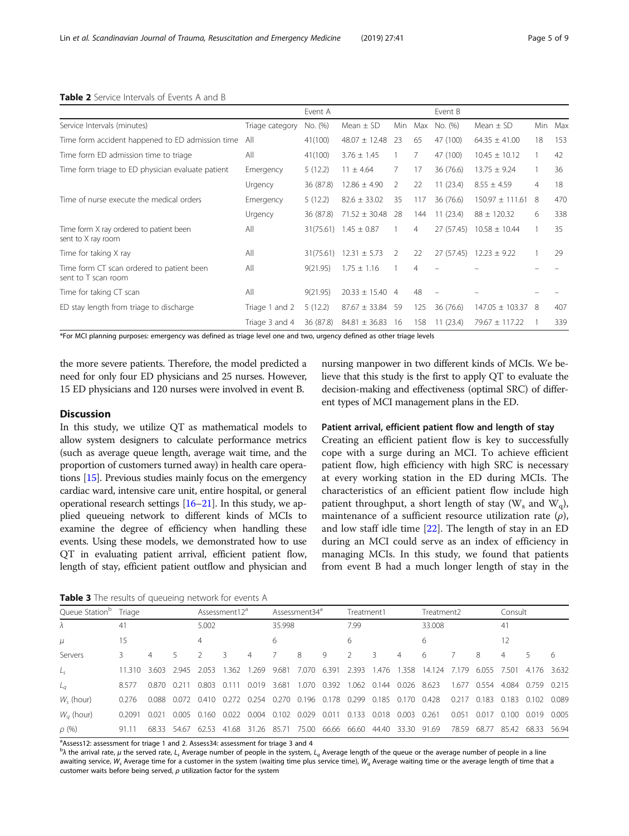|                                                                  |                 | Event A   |                             |                |                | Event B    |                     |                |     |
|------------------------------------------------------------------|-----------------|-----------|-----------------------------|----------------|----------------|------------|---------------------|----------------|-----|
| Service Intervals (minutes)                                      | Triage category | No. (%)   | Mean $\pm$ SD               | Min            | Max            | No. (%)    | Mean $\pm$ SD       | Min            | Max |
| Time form accident happened to ED admission time                 | All             | 41(100)   | $48.07 \pm 12.48$           | 23             | 65             | 47 (100)   | $64.35 \pm 41.00$   | 18             | 153 |
| Time form ED admission time to triage                            | All             | 41(100)   | $3.76 \pm 1.45$             |                | 7              | 47 (100)   | $10.45 \pm 10.12$   |                | 42  |
| Time form triage to ED physician evaluate patient                | Emergency       | 5(12.2)   | $11 \pm 4.64$               | 7              | 17             | 36 (76.6)  | $13.75 \pm 9.24$    |                | 36  |
|                                                                  | Urgency         | 36 (87.8) | $12.86 \pm 4.90$            | 2              | 22             | 11(23.4)   | $8.55 \pm 4.59$     | $\overline{4}$ | 18  |
| Time of nurse execute the medical orders                         | Emergency       | 5(12.2)   | $82.6 \pm 33.02$            | 35             | 117            | 36 (76.6)  | $150.97 \pm 111.61$ | 8              | 470 |
|                                                                  | Urgency         | 36 (87.8) | $71.52 \pm 30.48$           | 28             | 144            | 11(23.4)   | $88 \pm 120.32$     | 6              | 338 |
| Time form X ray ordered to patient been<br>sent to X ray room    | All             |           | $31(75.61)$ 1.45 $\pm$ 0.87 |                | 4              | 27 (57.45) | $10.58 \pm 10.44$   |                | 35  |
| Time for taking X ray                                            | All             | 31(75.61) | $12.31 \pm 5.73$            | $\mathcal{P}$  | 22             | 27 (57.45) | $12.23 \pm 9.22$    |                | 29  |
| Time form CT scan ordered to patient been<br>sent to T scan room | All             | 9(21.95)  | $1.75 \pm 1.16$             |                | $\overline{4}$ |            |                     |                |     |
| Time for taking CT scan                                          | All             | 9(21.95)  | $20.33 \pm 15.40$           | $\overline{4}$ | 48             |            |                     |                |     |
| ED stay length from triage to discharge                          | Triage 1 and 2  | 5(12.2)   | $87.67 \pm 33.84$           | 59             | 125            | 36 (76.6)  | $147.05 \pm 103.37$ | 8              | 407 |
|                                                                  | Triage 3 and 4  | 36 (87.8) | $84.81 \pm 36.83$           | 16             | 158            | 11(23.4)   | $79.67 \pm 117.22$  |                | 339 |

#### <span id="page-4-0"></span>Table 2 Service Intervals of Events A and B

\*For MCI planning purposes: emergency was defined as triage level one and two, urgency defined as other triage levels

the more severe patients. Therefore, the model predicted a need for only four ED physicians and 25 nurses. However, 15 ED physicians and 120 nurses were involved in event B.

## **Discussion**

In this study, we utilize QT as mathematical models to allow system designers to calculate performance metrics (such as average queue length, average wait time, and the proportion of customers turned away) in health care operations [\[15](#page-7-0)]. Previous studies mainly focus on the emergency cardiac ward, intensive care unit, entire hospital, or general operational research settings [\[16](#page-7-0)–[21\]](#page-7-0). In this study, we applied queueing network to different kinds of MCIs to examine the degree of efficiency when handling these events. Using these models, we demonstrated how to use QT in evaluating patient arrival, efficient patient flow, length of stay, efficient patient outflow and physician and

Table 3 The results of queueing network for events A

nursing manpower in two different kinds of MCIs. We believe that this study is the first to apply QT to evaluate the decision-making and effectiveness (optimal SRC) of different types of MCI management plans in the ED.

## Patient arrival, efficient patient flow and length of stay

Creating an efficient patient flow is key to successfully cope with a surge during an MCI. To achieve efficient patient flow, high efficiency with high SRC is necessary at every working station in the ED during MCIs. The characteristics of an efficient patient flow include high patient throughput, a short length of stay ( $W_s$  and  $W_a$ ), maintenance of a sufficient resource utilization rate  $(\rho)$ , and low staff idle time [\[22](#page-7-0)]. The length of stay in an ED during an MCI could serve as an index of efficiency in managing MCIs. In this study, we found that patients from event B had a much longer length of stay in the

| Queue Station <sup>p</sup> | Triage |       |               | Assessment12 <sup>d</sup> |                   |               | Assessment34 <sup>d</sup> |       |                   | Treatment1  |                   |                   | Treatment2 |             |             | Consult |             |         |
|----------------------------|--------|-------|---------------|---------------------------|-------------------|---------------|---------------------------|-------|-------------------|-------------|-------------------|-------------------|------------|-------------|-------------|---------|-------------|---------|
| $\lambda$                  | 41     |       |               | 5.002                     |                   |               | 35.998                    |       |                   | 7.99        |                   |                   | 33.008     |             |             | 41      |             |         |
| $\mu$                      | 15     |       |               | 4                         |                   |               | 6                         |       |                   | 6           |                   |                   | 6          |             |             |         |             |         |
| Servers                    |        | 4     |               |                           | 3                 | 4             |                           | 8     | 9                 |             | 3                 | $\overline{4}$    | 6          |             | 8           | 4       |             | 6       |
| $L_{\varsigma}$            | 11.310 | 3.603 | 2945 2053     |                           | 1.362             | 1 269         | 9.681                     | 7070  | 6.391             | 2.393       |                   | 1.476 1.358       | 14.124     | 7.179       | 6.055       | 7.501   | 4.176 3.632 |         |
| $L_a$                      | 8.577  | 0.870 | 0.211         | 0.803                     | 0.111             | 0.019 3.681   |                           |       | 1.070 0.392       | 1.062       | 0.144 0.026 8.623 |                   |            |             | 1.677 0.554 | 4.084   | 0.759       | 0 2 1 5 |
| $W_{\rm c}$ (hour)         | 0.276  | 0.088 | $0.072$ 0.410 |                           | 0.272 0.254 0.270 |               |                           |       | 0.196 0.178 0.299 |             |                   | 0.185 0.170 0.428 |            | 0.217 0.183 |             | 0.183   | 0.102       | 0.089   |
| $W_a$ (hour)               | 0.2091 | 0021  | 0.005         | 0.160                     | 0.022             | $0.004$ 0.102 |                           | 0.029 | 0.011             | 0.133       | 0.018             | 0.003             | 0.261      | 0.051       | 0.017       | 0.100   | 0.019       | 0.005   |
| $\rho$ (%)                 | 91.11  | 68.33 | 54.67         | 62.53                     | 41.68             | 31.26 85.71   |                           | 75.00 |                   | 66.66 66.60 | 44.40             | 33.30 91.69       |            | 78.59       | 68.77       | 85.42   | 68.33       | 56.94   |

<sup>a</sup>Assess12: assessment for triage 1 and 2. Assess34: assessment for triage 3 and 4

<sup>b</sup> $\lambda$  the arrival rate,  $\mu$  the served rate, L<sub>s</sub> Average number of people in the system, L<sub>q</sub> Average length of the queue or the average number of people in a line awaiting service,  $W_s$  Average time for a customer in the system (waiting time plus service time),  $W_q$  Average waiting time or the average length of time that a customer waits before being served,  $\rho$  utilization factor for the system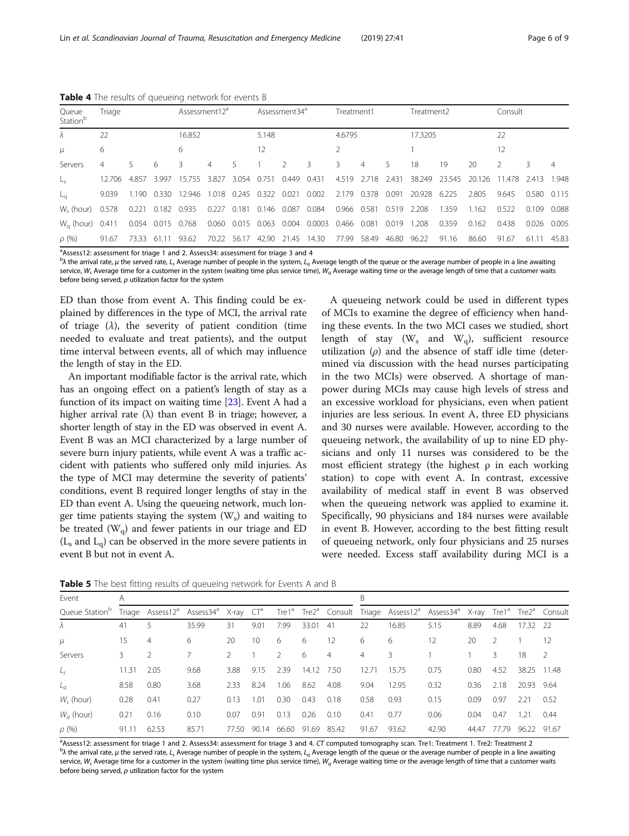| Queue<br>Station <sup>b</sup> | Triage |       |                   | Assessment12 <sup>d</sup> |       |       | Assessment34 <sup>d</sup>     |       |                                      | Treatment1  |                |       | Treatment2               |        |        | Consult            |       |       |
|-------------------------------|--------|-------|-------------------|---------------------------|-------|-------|-------------------------------|-------|--------------------------------------|-------------|----------------|-------|--------------------------|--------|--------|--------------------|-------|-------|
| $\lambda$                     | 22     |       |                   | 16.852                    |       |       | 5.148                         |       |                                      | 4.6795      |                |       | 17.3205                  |        |        | 22                 |       |       |
| $\mu$                         | 6      |       |                   | 6                         |       |       | 12                            |       |                                      |             |                |       |                          |        |        | 12                 |       |       |
| Servers                       | 4      | 5.    | 6                 | 3.                        | 4     | 5.    |                               |       | 3                                    | 3           | $\overline{4}$ | 5.    | 18                       | 19     | 20     | $\mathcal{L}$      | 3     | 4     |
|                               | 12.706 | 4.857 | 3.997             | 15.755                    | 3.827 | 3.054 | 0.751                         | 0.449 | 0.431                                |             |                |       | 4.519 2.718 2.431 38.249 | 23.545 | 20.126 | 11.478 2.413 1.948 |       |       |
|                               | 9.039  |       | 1.190 0.330       | 12.946                    |       |       | 1.018 0.245 0.322             | 0.021 | 0.002                                |             | 2.179 0.378    |       | 0.091 20.928 6.225       |        | 2.805  | 9.645              | 0.580 | 0.115 |
| W <sub>c</sub> (hour) 0.578   |        | 0.221 | 0.182 0.935       |                           |       |       | 0.227 0.181 0.146 0.087 0.084 |       |                                      | 0.966 0.581 |                | 0.519 | 2.208                    | 1.359  | 1.162  | 0.522              | 0.109 | 0.088 |
| $W_{\alpha}$ (hour) 0.411     |        |       | 0.054 0.015 0.768 |                           |       |       |                               |       | 0.060 0.015 0.063 0.004 0.0003 0.466 |             | 0.081          | 0.019 | 1.208                    | 0.359  | 0.162  | 0.438              | 0.026 | 0.005 |
| $\rho$ (%)                    | 91.67  | 73.33 | -11<br>-61        | 93.62                     | 70.22 | 56.17 | 42.90                         | 21.45 | 14.30                                | 77.99       | 58.49          | 46.80 | 96.22                    | 91.16  | 86.60  | 91.67              | 61.11 | 45.83 |

<span id="page-5-0"></span>Table 4 The results of queueing network for events B

<sup>a</sup>Assess12: assessment for triage 1 and 2. Assess34: assessment for triage 3 and 4

 $^{\rm b}$  the arrival rate,  $\mu$  the served rate,  $L_{\rm s}$  Average number of people in the system,  $L_q$  Average length of the queue or the average number of people in a line awaiting service,  $W_s$  Average time for a customer in the system (waiting time plus service time),  $W_q$  Average waiting time or the average length of time that a customer waits before being served, ρ utilization factor for the system

ED than those from event A. This finding could be explained by differences in the type of MCI, the arrival rate of triage  $(\lambda)$ , the severity of patient condition (time needed to evaluate and treat patients), and the output time interval between events, all of which may influence the length of stay in the ED.

An important modifiable factor is the arrival rate, which has an ongoing effect on a patient's length of stay as a function of its impact on waiting time [[23](#page-8-0)]. Event A had a higher arrival rate  $(\lambda)$  than event B in triage; however, a shorter length of stay in the ED was observed in event A. Event B was an MCI characterized by a large number of severe burn injury patients, while event A was a traffic accident with patients who suffered only mild injuries. As the type of MCI may determine the severity of patients' conditions, event B required longer lengths of stay in the ED than event A. Using the queueing network, much longer time patients staying the system  $(W_s)$  and waiting to be treated  $(W_q)$  and fewer patients in our triage and ED  $(L<sub>s</sub>$  and  $L<sub>q</sub>)$  can be observed in the more severe patients in event B but not in event A.

A queueing network could be used in different types of MCIs to examine the degree of efficiency when handing these events. In the two MCI cases we studied, short length of stay ( $W_s$  and  $W_q$ ), sufficient resource utilization  $(\rho)$  and the absence of staff idle time (determined via discussion with the head nurses participating in the two MCIs) were observed. A shortage of manpower during MCIs may cause high levels of stress and an excessive workload for physicians, even when patient injuries are less serious. In event A, three ED physicians and 30 nurses were available. However, according to the queueing network, the availability of up to nine ED physicians and only 11 nurses was considered to be the most efficient strategy (the highest  $\rho$  in each working station) to cope with event A. In contrast, excessive availability of medical staff in event B was observed when the queueing network was applied to examine it. Specifically, 90 physicians and 184 nurses were available in event B. However, according to the best fitting result of queueing network, only four physicians and 25 nurses were needed. Excess staff availability during MCI is a

Table 5 The best fitting results of queueing network for Events A and B

| Event<br>A                 |       |                                                                          |       |       |       |               |            |       | B              |                                                                                                                                                  |       |       |               |             |               |  |  |
|----------------------------|-------|--------------------------------------------------------------------------|-------|-------|-------|---------------|------------|-------|----------------|--------------------------------------------------------------------------------------------------------------------------------------------------|-------|-------|---------------|-------------|---------------|--|--|
| Queue Station <sup>p</sup> |       | Triage Assess12 <sup>a</sup> Assess34 <sup>a</sup> X-ray CT <sup>a</sup> |       |       |       |               |            |       |                | Tre1 <sup>a</sup> Tre2 <sup>a</sup> Consult Triage Assess12 <sup>a</sup> Assess34 <sup>a</sup> X-ray Tre1 <sup>a</sup> Tre2 <sup>a</sup> Consult |       |       |               |             |               |  |  |
| $\lambda$                  | 41    | 5                                                                        | 35.99 | 31    | 9.01  | 7.99          | 33.01      | 41    | 22             | 16.85                                                                                                                                            | 5.15  | 8.89  | 4.68          | 17.32       | - 22          |  |  |
| $\mu$                      | 15    | $\overline{4}$                                                           | 6     | 20    | 10    | 6             | 6          | 12    | 6              | 6                                                                                                                                                | 12    | 20    | $\mathcal{P}$ |             | 12            |  |  |
| Servers                    | 3     |                                                                          |       |       |       | $\mathcal{P}$ | 6          | 4     | $\overline{4}$ | 3                                                                                                                                                |       |       | 3.            | 18          | $\mathcal{L}$ |  |  |
| $L_{s}$                    | 11.31 | 2.05                                                                     | 9.68  | 3.88  | 9.15  | 2.39          | 14.12 7.50 |       | 12.71          | 15.75                                                                                                                                            | 0.75  | 0.80  | 4.52          | 38.25 11.48 |               |  |  |
| $L_a$                      | 8.58  | 0.80                                                                     | 3.68  | 2.33  | 8.24  | 1.06          | 8.62       | 4.08  | 9.04           | 12.95                                                                                                                                            | 0.32  | 0.36  | 2.18          | 20.93 9.64  |               |  |  |
| $W_{s}$ (hour)             | 0.28  | 0.41                                                                     | 0.27  | 0.13  | 1.01  | 0.30          | 0.43       | 0.18  | 0.58           | 0.93                                                                                                                                             | 0.15  | 0.09  | 0.97          | 2.21        | 0.52          |  |  |
| $W_a$ (hour)               | 0.21  | 0.16                                                                     | 0.10  | 0.07  | 0.91  | 0.13          | 0.26       | 0.10  | 0.41           | 0.77                                                                                                                                             | 0.06  | 0.04  | 0.47          | 1.21        | 0.44          |  |  |
| $\rho$ (%)                 | 91.11 | 62.53                                                                    | 85.71 | 77.50 | 90.14 | 66.60         | 91.69      | 85.42 | 91.67          | 93.62                                                                                                                                            | 42.90 | 44.47 | 77.79         | 96.22       | 91.67         |  |  |

a<br>Assess12: assessment for triage 1 and 2. Assess34: assessment for triage 3 and 4. CT computed tomography scan. Tre1: Treatment 1. Tre2: Treatment 2<br><sup>b)</sup> the arrival rate ut the senied rate 1. Average number of people in <sup>b</sup>) the arrival rate,  $\mu$  the served rate, L<sub>s</sub> Average number of people in the system, L<sub>a</sub> Average length of the queue or the average number of people in a line awaiting service,  $W_s$  Average time for a customer in the system (waiting time plus service time),  $W_q$  Average waiting time or the average length of time that a customer waits before being served,  $\rho$  utilization factor for the system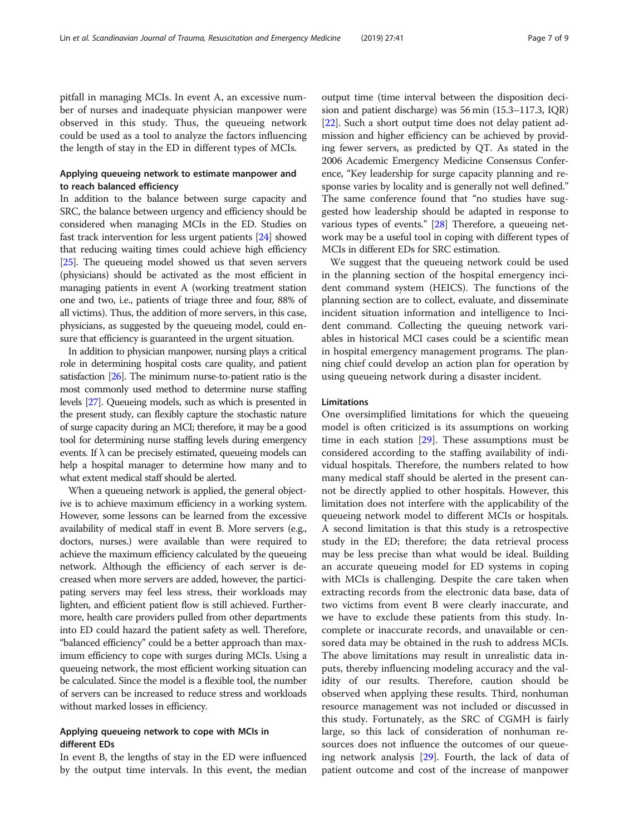pitfall in managing MCIs. In event A, an excessive number of nurses and inadequate physician manpower were observed in this study. Thus, the queueing network could be used as a tool to analyze the factors influencing the length of stay in the ED in different types of MCIs.

## Applying queueing network to estimate manpower and to reach balanced efficiency

In addition to the balance between surge capacity and SRC, the balance between urgency and efficiency should be considered when managing MCIs in the ED. Studies on fast track intervention for less urgent patients [\[24\]](#page-8-0) showed that reducing waiting times could achieve high efficiency [[25](#page-8-0)]. The queueing model showed us that seven servers (physicians) should be activated as the most efficient in managing patients in event A (working treatment station one and two, i.e., patients of triage three and four, 88% of all victims). Thus, the addition of more servers, in this case, physicians, as suggested by the queueing model, could ensure that efficiency is guaranteed in the urgent situation.

In addition to physician manpower, nursing plays a critical role in determining hospital costs care quality, and patient satisfaction [\[26\]](#page-8-0). The minimum nurse-to-patient ratio is the most commonly used method to determine nurse staffing levels [[27\]](#page-8-0). Queueing models, such as which is presented in the present study, can flexibly capture the stochastic nature of surge capacity during an MCI; therefore, it may be a good tool for determining nurse staffing levels during emergency events. If  $\lambda$  can be precisely estimated, queueing models can help a hospital manager to determine how many and to what extent medical staff should be alerted.

When a queueing network is applied, the general objective is to achieve maximum efficiency in a working system. However, some lessons can be learned from the excessive availability of medical staff in event B. More servers (e.g., doctors, nurses.) were available than were required to achieve the maximum efficiency calculated by the queueing network. Although the efficiency of each server is decreased when more servers are added, however, the participating servers may feel less stress, their workloads may lighten, and efficient patient flow is still achieved. Furthermore, health care providers pulled from other departments into ED could hazard the patient safety as well. Therefore, "balanced efficiency" could be a better approach than maximum efficiency to cope with surges during MCIs. Using a queueing network, the most efficient working situation can be calculated. Since the model is a flexible tool, the number of servers can be increased to reduce stress and workloads without marked losses in efficiency.

## Applying queueing network to cope with MCIs in different EDs

In event B, the lengths of stay in the ED were influenced by the output time intervals. In this event, the median output time (time interval between the disposition decision and patient discharge) was 56 min (15.3–117.3, IQR) [[22](#page-7-0)]. Such a short output time does not delay patient admission and higher efficiency can be achieved by providing fewer servers, as predicted by QT. As stated in the 2006 Academic Emergency Medicine Consensus Conference, "Key leadership for surge capacity planning and response varies by locality and is generally not well defined." The same conference found that "no studies have suggested how leadership should be adapted in response to various types of events." [[28](#page-8-0)] Therefore, a queueing network may be a useful tool in coping with different types of MCIs in different EDs for SRC estimation.

We suggest that the queueing network could be used in the planning section of the hospital emergency incident command system (HEICS). The functions of the planning section are to collect, evaluate, and disseminate incident situation information and intelligence to Incident command. Collecting the queuing network variables in historical MCI cases could be a scientific mean in hospital emergency management programs. The planning chief could develop an action plan for operation by using queueing network during a disaster incident.

#### Limitations

One oversimplified limitations for which the queueing model is often criticized is its assumptions on working time in each station [\[29](#page-8-0)]. These assumptions must be considered according to the staffing availability of individual hospitals. Therefore, the numbers related to how many medical staff should be alerted in the present cannot be directly applied to other hospitals. However, this limitation does not interfere with the applicability of the queueing network model to different MCIs or hospitals. A second limitation is that this study is a retrospective study in the ED; therefore; the data retrieval process may be less precise than what would be ideal. Building an accurate queueing model for ED systems in coping with MCIs is challenging. Despite the care taken when extracting records from the electronic data base, data of two victims from event B were clearly inaccurate, and we have to exclude these patients from this study. Incomplete or inaccurate records, and unavailable or censored data may be obtained in the rush to address MCIs. The above limitations may result in unrealistic data inputs, thereby influencing modeling accuracy and the validity of our results. Therefore, caution should be observed when applying these results. Third, nonhuman resource management was not included or discussed in this study. Fortunately, as the SRC of CGMH is fairly large, so this lack of consideration of nonhuman resources does not influence the outcomes of our queueing network analysis [[29\]](#page-8-0). Fourth, the lack of data of patient outcome and cost of the increase of manpower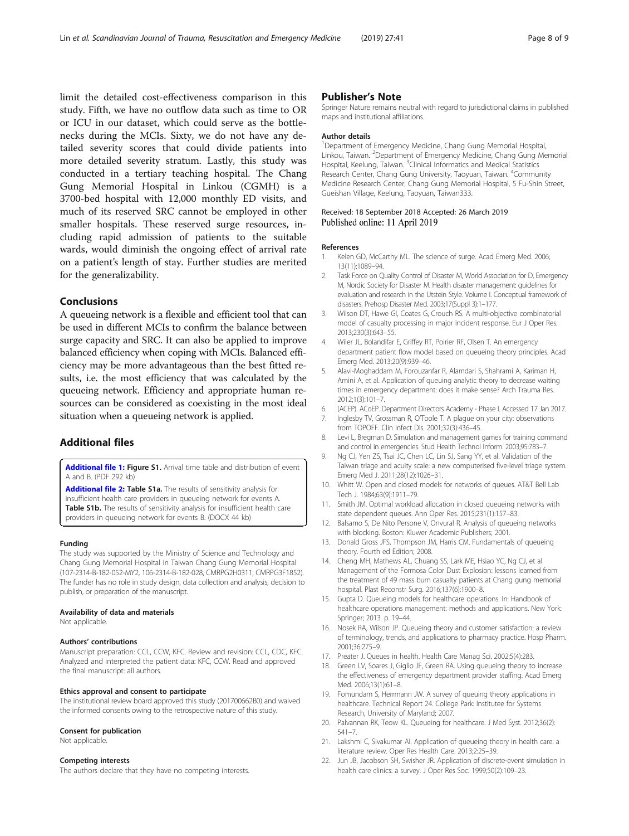<span id="page-7-0"></span>limit the detailed cost-effectiveness comparison in this study. Fifth, we have no outflow data such as time to OR or ICU in our dataset, which could serve as the bottlenecks during the MCIs. Sixty, we do not have any detailed severity scores that could divide patients into

more detailed severity stratum. Lastly, this study was conducted in a tertiary teaching hospital. The Chang Gung Memorial Hospital in Linkou (CGMH) is a 3700-bed hospital with 12,000 monthly ED visits, and much of its reserved SRC cannot be employed in other smaller hospitals. These reserved surge resources, including rapid admission of patients to the suitable wards, would diminish the ongoing effect of arrival rate on a patient's length of stay. Further studies are merited for the generalizability.

## Conclusions

A queueing network is a flexible and efficient tool that can be used in different MCIs to confirm the balance between surge capacity and SRC. It can also be applied to improve balanced efficiency when coping with MCIs. Balanced efficiency may be more advantageous than the best fitted results, i.e. the most efficiency that was calculated by the queueing network. Efficiency and appropriate human resources can be considered as coexisting in the most ideal situation when a queueing network is applied.

## Additional files

[Additional file 1:](https://doi.org/10.1186/s13049-019-0620-8) Figure S1. Arrival time table and distribution of event A and B. (PDF 292 kb)

[Additional file 2:](https://doi.org/10.1186/s13049-019-0620-8) Table S1a. The results of sensitivity analysis for insufficient health care providers in queueing network for events A. Table S1b. The results of sensitivity analysis for insufficient health care providers in queueing network for events B. (DOCX 44 kb)

#### Funding

The study was supported by the Ministry of Science and Technology and Chang Gung Memorial Hospital in Taiwan Chang Gung Memorial Hospital (107-2314-B-182-052-MY2, 106-2314-B-182-028, CMRPG2H0311, CMRPG3F1852). The funder has no role in study design, data collection and analysis, decision to publish, or preparation of the manuscript.

#### Availability of data and materials

Not applicable.

#### Authors' contributions

Manuscript preparation: CCL, CCW, KFC. Review and revision: CCL, CDC, KFC. Analyzed and interpreted the patient data: KFC, CCW. Read and approved the final manuscript: all authors.

### Ethics approval and consent to participate

The institutional review board approved this study (201700662B0) and waived the informed consents owing to the retrospective nature of this study.

#### Consent for publication

Not applicable.

#### Competing interests

The authors declare that they have no competing interests.

## Publisher's Note

Springer Nature remains neutral with regard to jurisdictional claims in published maps and institutional affiliations.

#### Author details

<sup>1</sup>Department of Emergency Medicine, Chang Gung Memorial Hospital Linkou, Taiwan. <sup>2</sup> Department of Emergency Medicine, Chang Gung Memorial Hospital, Keelung, Taiwan. <sup>3</sup>Clinical Informatics and Medical Statistics Research Center, Chang Gung University, Taoyuan, Taiwan. <sup>4</sup>Community Medicine Research Center, Chang Gung Memorial Hospital, 5 Fu-Shin Street, Gueishan Village, Keelung, Taoyuan, Taiwan333.

#### Received: 18 September 2018 Accepted: 26 March 2019 Published online: 11 April 2019

#### References

- 1. Kelen GD, McCarthy ML. The science of surge. Acad Emerg Med. 2006; 13(11):1089–94.
- 2. Task Force on Quality Control of Disaster M, World Association for D, Emergency M, Nordic Society for Disaster M. Health disaster management: guidelines for evaluation and research in the Utstein Style. Volume I. Conceptual framework of disasters. Prehosp Disaster Med. 2003;17(Suppl 3):1–177.
- 3. Wilson DT, Hawe GI, Coates G, Crouch RS. A multi-objective combinatorial model of casualty processing in major incident response. Eur J Oper Res. 2013;230(3):643–55.
- 4. Wiler JL, Bolandifar E, Griffey RT, Poirier RF, Olsen T. An emergency department patient flow model based on queueing theory principles. Acad Emerg Med. 2013;20(9):939–46.
- 5. Alavi-Moghaddam M, Forouzanfar R, Alamdari S, Shahrami A, Kariman H, Amini A, et al. Application of queuing analytic theory to decrease waiting times in emergency department: does it make sense? Arch Trauma Res. 2012;1(3):101–7.
- 6. (ACEP). ACoEP. Department Directors Academy Phase I. Accessed 17 Jan 2017.
- 7. Inglesby TV, Grossman R, O'Toole T. A plague on your city: observations from TOPOFF. Clin Infect Dis. 2001;32(3):436–45.
- 8. Levi L, Bregman D. Simulation and management games for training command and control in emergencies. Stud Health Technol Inform. 2003;95:783–7.
- 9. Ng CJ, Yen ZS, Tsai JC, Chen LC, Lin SJ, Sang YY, et al. Validation of the Taiwan triage and acuity scale: a new computerised five-level triage system. Emerg Med J. 2011;28(12):1026–31.
- 10. Whitt W. Open and closed models for networks of queues. AT&T Bell Lab Tech J. 1984;63(9):1911–79.
- 11. Smith JM. Optimal workload allocation in closed queueing networks with state dependent queues. Ann Oper Res. 2015;231(1):157–83.
- 12. Balsamo S, De Nito Persone V, Onvural R. Analysis of queueing networks with blocking. Boston: Kluwer Academic Publishers; 2001.
- 13. Donald Gross JFS, Thompson JM, Harris CM. Fundamentals of queueing theory. Fourth ed Edition; 2008.
- 14. Cheng MH, Mathews AL, Chuang SS, Lark ME, Hsiao YC, Ng CJ, et al. Management of the Formosa Color Dust Explosion: lessons learned from the treatment of 49 mass burn casualty patients at Chang gung memorial hospital. Plast Reconstr Surg. 2016;137(6):1900–8.
- 15. Gupta D. Queueing models for healthcare operations. In: Handbook of healthcare operations management: methods and applications. New York: Springer; 2013. p. 19–44.
- 16. Nosek RA, Wilson JP. Queueing theory and customer satisfaction: a review of terminology, trends, and applications to pharmacy practice. Hosp Pharm. 2001;36:275–9.
- 17. Preater J. Queues in health. Health Care Manag Sci. 2002;5(4):283.
- 18. Green LV, Soares J, Giglio JF, Green RA. Using queueing theory to increase the effectiveness of emergency department provider staffing. Acad Emerg Med. 2006;13(1):61–8.
- 19. Fomundam S, Herrmann JW. A survey of queuing theory applications in healthcare. Technical Report 24. College Park: Institutee for Systems Research, University of Maryland; 2007.
- 20. Palvannan RK, Teow KL. Queueing for healthcare. J Med Syst. 2012;36(2): 541–7.
- 21. Lakshmi C, Sivakumar AI. Application of queueing theory in health care: a literature review. Oper Res Health Care. 2013;2:25–39.
- 22. Jun JB, Jacobson SH, Swisher JR. Application of discrete-event simulation in health care clinics: a survey. J Oper Res Soc. 1999;50(2):109–23.